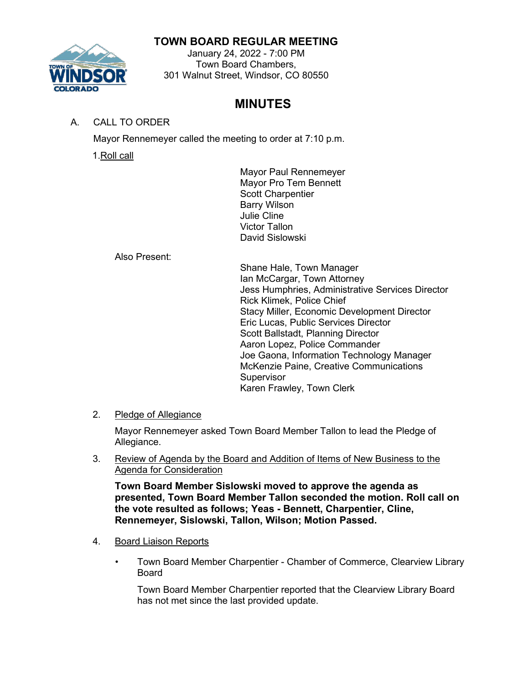## **TOWN BOARD REGULAR MEETING**



January 24, 2022 - 7:00 PM Town Board Chambers, 301 Walnut Street, Windsor, CO 80550

# **MINUTES**

## A. CALL TO ORDER

Mayor Rennemeyer called the meeting to order at 7:10 p.m.

1.Roll call

Mayor Paul Rennemeyer Mayor Pro Tem Bennett Scott Charpentier Barry Wilson Julie Cline Victor Tallon David Sislowski

Also Present:

Shane Hale, Town Manager Ian McCargar, Town Attorney Jess Humphries, Administrative Services Director Rick Klimek, Police Chief Stacy Miller, Economic Development Director Eric Lucas, Public Services Director Scott Ballstadt, Planning Director Aaron Lopez, Police Commander Joe Gaona, Information Technology Manager McKenzie Paine, Creative Communications **Supervisor** Karen Frawley, Town Clerk

# 2. Pledge of Allegiance

Mayor Rennemeyer asked Town Board Member Tallon to lead the Pledge of Allegiance.

3. Review of Agenda by the Board and Addition of Items of New Business to the Agenda for Consideration

**Town Board Member Sislowski moved to approve the agenda as presented, Town Board Member Tallon seconded the motion. Roll call on the vote resulted as follows; Yeas - Bennett, Charpentier, Cline, Rennemeyer, Sislowski, Tallon, Wilson; Motion Passed.**

- 4. Board Liaison Reports
	- Town Board Member Charpentier Chamber of Commerce, Clearview Library Board

Town Board Member Charpentier reported that the Clearview Library Board has not met since the last provided update.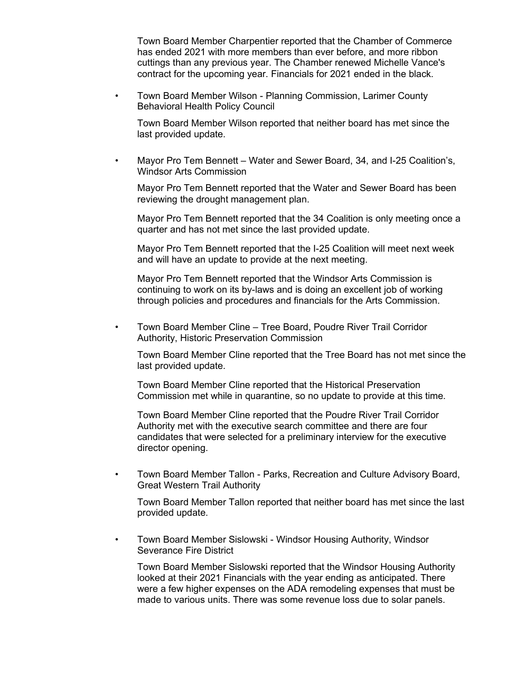Town Board Member Charpentier reported that the Chamber of Commerce has ended 2021 with more members than ever before, and more ribbon cuttings than any previous year. The Chamber renewed Michelle Vance's contract for the upcoming year. Financials for 2021 ended in the black.

• Town Board Member Wilson - Planning Commission, Larimer County Behavioral Health Policy Council

Town Board Member Wilson reported that neither board has met since the last provided update.

• Mayor Pro Tem Bennett – Water and Sewer Board, 34, and I-25 Coalition's, Windsor Arts Commission

Mayor Pro Tem Bennett reported that the Water and Sewer Board has been reviewing the drought management plan.

Mayor Pro Tem Bennett reported that the 34 Coalition is only meeting once a quarter and has not met since the last provided update.

Mayor Pro Tem Bennett reported that the I-25 Coalition will meet next week and will have an update to provide at the next meeting.

Mayor Pro Tem Bennett reported that the Windsor Arts Commission is continuing to work on its by-laws and is doing an excellent job of working through policies and procedures and financials for the Arts Commission.

• Town Board Member Cline – Tree Board, Poudre River Trail Corridor Authority, Historic Preservation Commission

Town Board Member Cline reported that the Tree Board has not met since the last provided update.

Town Board Member Cline reported that the Historical Preservation Commission met while in quarantine, so no update to provide at this time.

Town Board Member Cline reported that the Poudre River Trail Corridor Authority met with the executive search committee and there are four candidates that were selected for a preliminary interview for the executive director opening.

• Town Board Member Tallon - Parks, Recreation and Culture Advisory Board, Great Western Trail Authority

Town Board Member Tallon reported that neither board has met since the last provided update.

• Town Board Member Sislowski - Windsor Housing Authority, Windsor Severance Fire District

Town Board Member Sislowski reported that the Windsor Housing Authority looked at their 2021 Financials with the year ending as anticipated. There were a few higher expenses on the ADA remodeling expenses that must be made to various units. There was some revenue loss due to solar panels.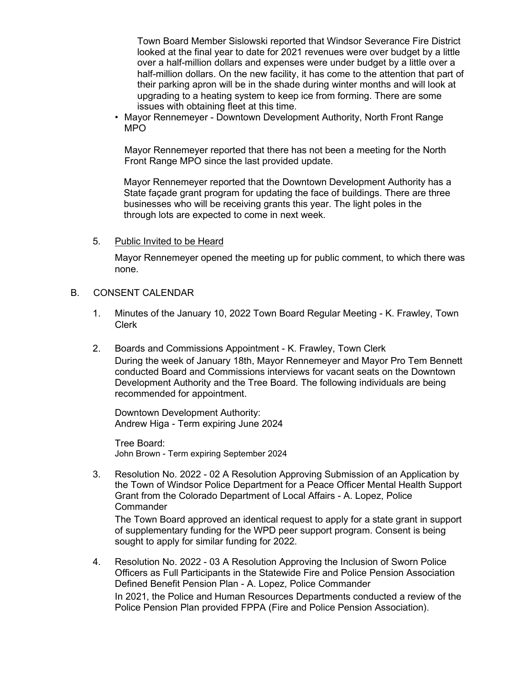Town Board Member Sislowski reported that Windsor Severance Fire District looked at the final year to date for 2021 revenues were over budget by a little over a half-million dollars and expenses were under budget by a little over a half-million dollars. On the new facility, it has come to the attention that part of their parking apron will be in the shade during winter months and will look at upgrading to a heating system to keep ice from forming. There are some issues with obtaining fleet at this time.

• Mayor Rennemeyer - Downtown Development Authority, North Front Range MPO

Mayor Rennemeyer reported that there has not been a meeting for the North Front Range MPO since the last provided update.

Mayor Rennemeyer reported that the Downtown Development Authority has a State façade grant program for updating the face of buildings. There are three businesses who will be receiving grants this year. The light poles in the through lots are expected to come in next week.

5. Public Invited to be Heard

Mayor Rennemeyer opened the meeting up for public comment, to which there was none.

- B. CONSENT CALENDAR
	- 1. Minutes of the January 10, 2022 Town Board Regular Meeting K. Frawley, Town Clerk
	- 2. Boards and Commissions Appointment K. Frawley, Town Clerk During the week of January 18th, Mayor Rennemeyer and Mayor Pro Tem Bennett conducted Board and Commissions interviews for vacant seats on the Downtown Development Authority and the Tree Board. The following individuals are being recommended for appointment.

Downtown Development Authority: Andrew Higa - Term expiring June 2024

Tree Board: John Brown - Term expiring September 2024

3. Resolution No. 2022 - 02 A Resolution Approving Submission of an Application by the Town of Windsor Police Department for a Peace Officer Mental Health Support Grant from the Colorado Department of Local Affairs - A. Lopez, Police **Commander** 

The Town Board approved an identical request to apply for a state grant in support of supplementary funding for the WPD peer support program. Consent is being sought to apply for similar funding for 2022.

4. Resolution No. 2022 - 03 A Resolution Approving the Inclusion of Sworn Police Officers as Full Participants in the Statewide Fire and Police Pension Association Defined Benefit Pension Plan - A. Lopez, Police Commander In 2021, the Police and Human Resources Departments conducted a review of the Police Pension Plan provided FPPA (Fire and Police Pension Association).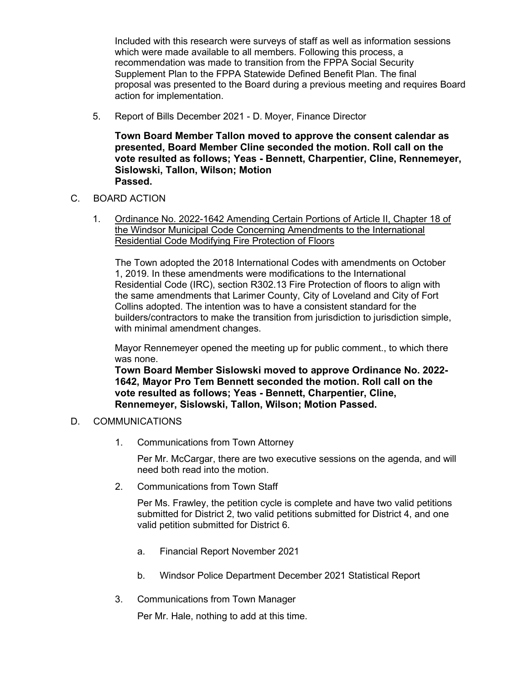Included with this research were surveys of staff as well as information sessions which were made available to all members. Following this process, a recommendation was made to transition from the FPPA Social Security Supplement Plan to the FPPA Statewide Defined Benefit Plan. The final proposal was presented to the Board during a previous meeting and requires Board action for implementation.

5. Report of Bills December 2021 - D. Moyer, Finance Director

**Town Board Member Tallon moved to approve the consent calendar as presented, Board Member Cline seconded the motion. Roll call on the vote resulted as follows; Yeas - Bennett, Charpentier, Cline, Rennemeyer, Sislowski, Tallon, Wilson; Motion Passed.**

- C. BOARD ACTION
	- 1. Ordinance No. 2022-1642 Amending Certain Portions of Article II, Chapter 18 of the Windsor Municipal Code Concerning Amendments to the International Residential Code Modifying Fire Protection of Floors

The Town adopted the 2018 International Codes with amendments on October 1, 2019. In these amendments were modifications to the International Residential Code (IRC), section R302.13 Fire Protection of floors to align with the same amendments that Larimer County, City of Loveland and City of Fort Collins adopted. The intention was to have a consistent standard for the builders/contractors to make the transition from jurisdiction to jurisdiction simple, with minimal amendment changes.

Mayor Rennemeyer opened the meeting up for public comment., to which there was none.

**Town Board Member Sislowski moved to approve Ordinance No. 2022- 1642, Mayor Pro Tem Bennett seconded the motion. Roll call on the vote resulted as follows; Yeas - Bennett, Charpentier, Cline, Rennemeyer, Sislowski, Tallon, Wilson; Motion Passed.**

#### D. COMMUNICATIONS

1. Communications from Town Attorney

Per Mr. McCargar, there are two executive sessions on the agenda, and will need both read into the motion.

2. Communications from Town Staff

Per Ms. Frawley, the petition cycle is complete and have two valid petitions submitted for District 2, two valid petitions submitted for District 4, and one valid petition submitted for District 6.

- a. Financial Report November 2021
- b. Windsor Police Department December 2021 Statistical Report
- 3. Communications from Town Manager

Per Mr. Hale, nothing to add at this time.